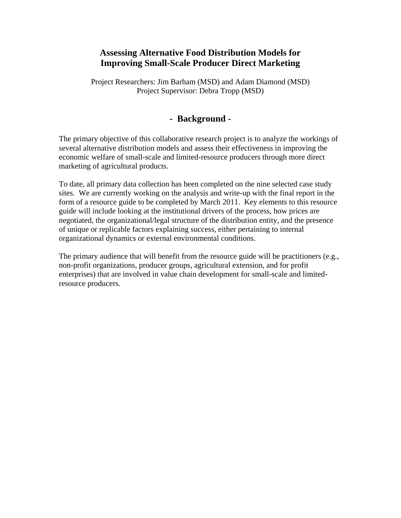# **Assessing Alternative Food Distribution Models for Improving Small-Scale Producer Direct Marketing**

Project Researchers: Jim Barham (MSD) and Adam Diamond (MSD) Project Supervisor: Debra Tropp (MSD)

# **- Background -**

The primary objective of this collaborative research project is to analyze the workings of several alternative distribution models and assess their effectiveness in improving the economic welfare of small-scale and limited-resource producers through more direct marketing of agricultural products.

To date, all primary data collection has been completed on the nine selected case study sites. We are currently working on the analysis and write-up with the final report in the form of a resource guide to be completed by March 2011. Key elements to this resource guide will include looking at the institutional drivers of the process, how prices are negotiated, the organizational/legal structure of the distribution entity, and the presence of unique or replicable factors explaining success, either pertaining to internal organizational dynamics or external environmental conditions.

The primary audience that will benefit from the resource guide will be practitioners (e.g., non-profit organizations, producer groups, agricultural extension, and for profit enterprises) that are involved in value chain development for small-scale and limitedresource producers.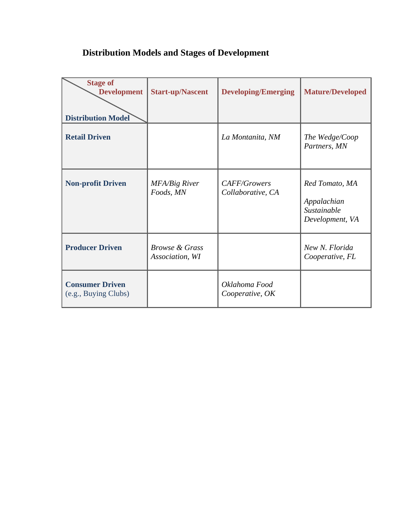# **Distribution Models and Stages of Development**

| <b>Stage of</b><br><b>Development</b><br><b>Distribution Model</b> | <b>Start-up/Nascent</b>                      | <b>Developing/Emerging</b>        | <b>Mature/Developed</b>                                         |
|--------------------------------------------------------------------|----------------------------------------------|-----------------------------------|-----------------------------------------------------------------|
| <b>Retail Driven</b>                                               |                                              | La Montanita, NM                  | The Wedge/Coop<br>Partners, MN                                  |
| <b>Non-profit Driven</b>                                           | <b>MFA/Big River</b><br>Foods, MN            | CAFF/Growers<br>Collaborative, CA | Red Tomato, MA<br>Appalachian<br>Sustainable<br>Development, VA |
| <b>Producer Driven</b>                                             | <i>Browse &amp; Grass</i><br>Association, WI |                                   | New N. Florida<br>Cooperative, FL                               |
| <b>Consumer Driven</b><br>(e.g., Buying Clubs)                     |                                              | Oklahoma Food<br>Cooperative, OK  |                                                                 |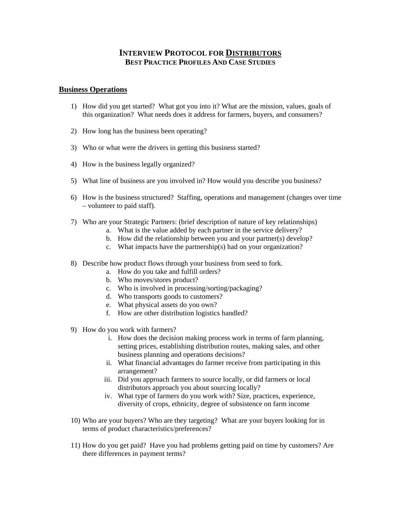## **INTERVIEW PROTOCOL FOR DISTRIBUTORS BEST PRACTICE PROFILES AND CASE STUDIES**

#### **Business Operations**

- 1) How did you get started? What got you into it? What are the mission, values, goals of this organization? What needs does it address for farmers, buyers, and consumers?
- 2) How long has the business been operating?
- 3) Who or what were the drivers in getting this business started?
- 4) How is the business legally organized?
- 5) What line of business are you involved in? How would you describe you business?
- 6) How is the business structured? Staffing, operations and management (changes over time – volunteer to paid staff).
- 7) Who are your Strategic Partners: (brief description of nature of key relationships)
	- a. What is the value added by each partner in the service delivery?
	- b. How did the relationship between you and your partner(s) develop?
	- c. What impacts have the partnership(s) had on your organization?
- 8) Describe how product flows through your business from seed to fork.
	- a. How do you take and fulfill orders?
	- b. Who moves/stores product?
	- c. Who is involved in processing/sorting/packaging?
	- d. Who transports goods to customers?
	- e. What physical assets do you own?
	- f. How are other distribution logistics handled?
- 9) How do you work with farmers?
	- i. How does the decision making process work in terms of farm planning, setting prices, establishing distribution routes, making sales, and other business planning and operations decisions?
	- ii. What financial advantages do farmer receive from participating in this arrangement?
	- iii. Did you approach farmers to source locally, or did farmers or local distributors approach you about sourcing locally?
	- iv. What type of farmers do you work with? Size, practices, experience, diversity of crops, ethnicity, degree of subsistence on farm income
- 10) Who are your buyers? Who are they targeting? What are your buyers looking for in terms of product characteristics/preferences?
- 11) How do you get paid? Have you had problems getting paid on time by customers? Are there differences in payment terms?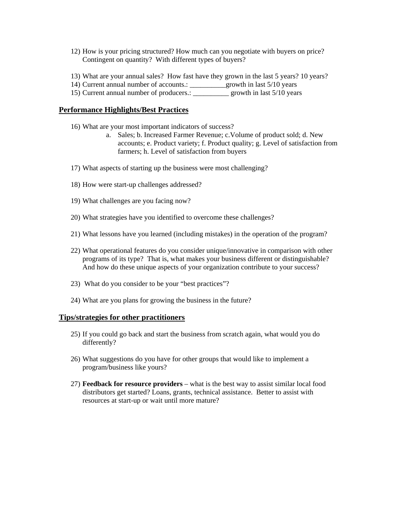- 12) How is your pricing structured? How much can you negotiate with buyers on price? Contingent on quantity? With different types of buyers?
- 13) What are your annual sales? How fast have they grown in the last 5 years? 10 years?
- 14) Current annual number of accounts.: \_\_\_\_\_\_\_\_\_\_growth in last 5/10 years
- 15) Current annual number of producers.: \_\_\_\_\_\_\_\_\_\_ growth in last 5/10 years

#### **Performance Highlights/Best Practices**

- 16) What are your most important indicators of success?
	- a. Sales; b. Increased Farmer Revenue; c.Volume of product sold; d. New accounts; e. Product variety; f. Product quality; g. Level of satisfaction from farmers; h. Level of satisfaction from buyers
- 17) What aspects of starting up the business were most challenging?
- 18) How were start-up challenges addressed?
- 19) What challenges are you facing now?
- 20) What strategies have you identified to overcome these challenges?
- 21) What lessons have you learned (including mistakes) in the operation of the program?
- 22) What operational features do you consider unique/innovative in comparison with other programs of its type? That is, what makes your business different or distinguishable? And how do these unique aspects of your organization contribute to your success?
- 23) What do you consider to be your "best practices"?
- 24) What are you plans for growing the business in the future?

#### **Tips/strategies for other practitioners**

- 25) If you could go back and start the business from scratch again, what would you do differently?
- 26) What suggestions do you have for other groups that would like to implement a program/business like yours?
- 27) **Feedback for resource providers** what is the best way to assist similar local food distributors get started? Loans, grants, technical assistance. Better to assist with resources at start-up or wait until more mature?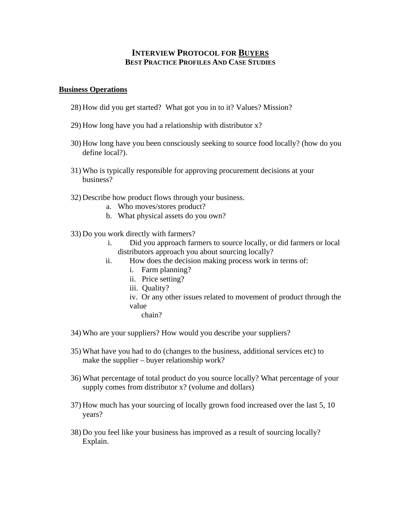## **INTERVIEW PROTOCOL FOR BUYERS BEST PRACTICE PROFILES AND CASE STUDIES**

#### **Business Operations**

- 28) How did you get started? What got you in to it? Values? Mission?
- 29) How long have you had a relationship with distributor x?
- 30) How long have you been consciously seeking to source food locally? (how do you define local?).
- 31) Who is typically responsible for approving procurement decisions at your business?
- 32) Describe how product flows through your business.
	- a. Who moves/stores product?
	- b. What physical assets do you own?
- 33) Do you work directly with farmers?
	- i. Did you approach farmers to source locally, or did farmers or local distributors approach you about sourcing locally?
	- ii. How does the decision making process work in terms of:
		- i. Farm planning?
		- ii. Price setting?
		- iii. Quality?
		- iv. Or any other issues related to movement of product through the value
			- chain?
- 34) Who are your suppliers? How would you describe your suppliers?
- 35) What have you had to do (changes to the business, additional services etc) to make the supplier – buyer relationship work?
- 36) What percentage of total product do you source locally? What percentage of your supply comes from distributor x? (volume and dollars)
- 37) How much has your sourcing of locally grown food increased over the last 5, 10 years?
- 38) Do you feel like your business has improved as a result of sourcing locally? Explain.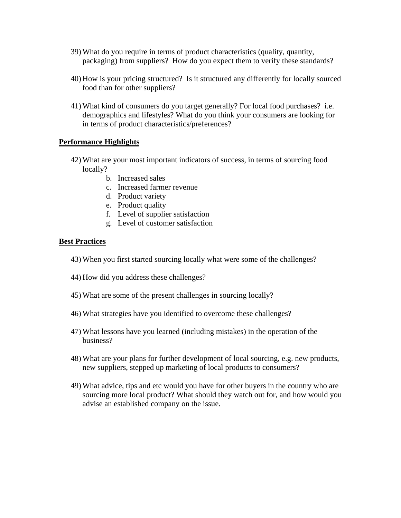- 39) What do you require in terms of product characteristics (quality, quantity, packaging) from suppliers? How do you expect them to verify these standards?
- 40) How is your pricing structured? Is it structured any differently for locally sourced food than for other suppliers?
- 41) What kind of consumers do you target generally? For local food purchases? i.e. demographics and lifestyles? What do you think your consumers are looking for in terms of product characteristics/preferences?

## **Performance Highlights**

- 42) What are your most important indicators of success, in terms of sourcing food locally?
	- b. Increased sales
	- c. Increased farmer revenue
	- d. Product variety
	- e. Product quality
	- f. Level of supplier satisfaction
	- g. Level of customer satisfaction

### **Best Practices**

- 43) When you first started sourcing locally what were some of the challenges?
- 44) How did you address these challenges?
- 45) What are some of the present challenges in sourcing locally?
- 46) What strategies have you identified to overcome these challenges?
- 47) What lessons have you learned (including mistakes) in the operation of the business?
- 48) What are your plans for further development of local sourcing, e.g. new products, new suppliers, stepped up marketing of local products to consumers?
- 49) What advice, tips and etc would you have for other buyers in the country who are sourcing more local product? What should they watch out for, and how would you advise an established company on the issue.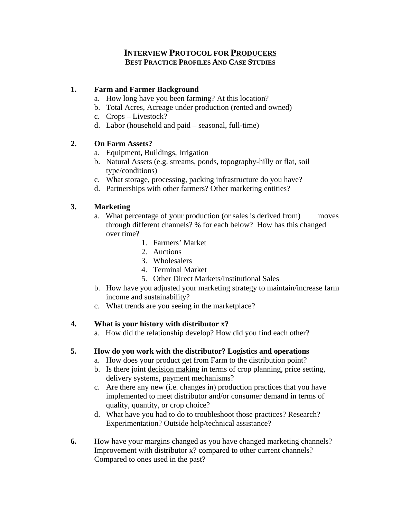# **INTERVIEW PROTOCOL FOR PRODUCERS BEST PRACTICE PROFILES AND CASE STUDIES**

# **1. Farm and Farmer Background**

- a. How long have you been farming? At this location?
- b. Total Acres, Acreage under production (rented and owned)
- c. Crops Livestock?
- d. Labor (household and paid seasonal, full-time)

# **2. On Farm Assets?**

- a. Equipment, Buildings, Irrigation
- b. Natural Assets (e.g. streams, ponds, topography-hilly or flat, soil type/conditions)
- c. What storage, processing, packing infrastructure do you have?
- d. Partnerships with other farmers? Other marketing entities?

# **3. Marketing**

- a. What percentage of your production (or sales is derived from) moves through different channels? % for each below? How has this changed over time?
	- 1. Farmers' Market
	- 2. Auctions
	- 3. Wholesalers
	- 4. Terminal Market
	- 5. Other Direct Markets/Institutional Sales
- b. How have you adjusted your marketing strategy to maintain/increase farm income and sustainability?
- c. What trends are you seeing in the marketplace?

# **4. What is your history with distributor x?**

a. How did the relationship develop? How did you find each other?

# **5. How do you work with the distributor? Logistics and operations**

- a. How does your product get from Farm to the distribution point?
- b. Is there joint decision making in terms of crop planning, price setting, delivery systems, payment mechanisms?
- c. Are there any new (i.e. changes in) production practices that you have implemented to meet distributor and/or consumer demand in terms of quality, quantity, or crop choice?
- d. What have you had to do to troubleshoot those practices? Research? Experimentation? Outside help/technical assistance?
- **6.** How have your margins changed as you have changed marketing channels? Improvement with distributor x? compared to other current channels? Compared to ones used in the past?